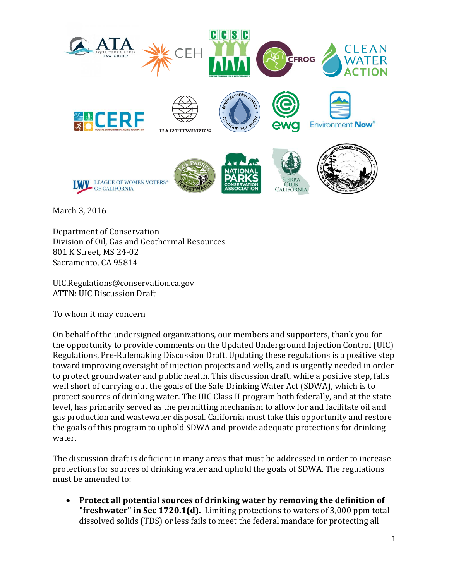

March 3, 2016

Department of Conservation Division of Oil, Gas and Geothermal Resources 801 K Street, MS 24-02 Sacramento, CA 95814

UIC.Regulations@conservation.ca.gov ATTN: UIC Discussion Draft

To whom it may concern

On behalf of the undersigned organizations, our members and supporters, thank you for the opportunity to provide comments on the Updated Underground Injection Control (UIC) Regulations, Pre-Rulemaking Discussion Draft. Updating these regulations is a positive step toward improving oversight of injection projects and wells, and is urgently needed in order to protect groundwater and public health. This discussion draft, while a positive step, falls well short of carrying out the goals of the Safe Drinking Water Act (SDWA), which is to protect sources of drinking water. The UIC Class II program both federally, and at the state level, has primarily served as the permitting mechanism to allow for and facilitate oil and gas production and wastewater disposal. California must take this opportunity and restore the goals of this program to uphold SDWA and provide adequate protections for drinking water.

The discussion draft is deficient in many areas that must be addressed in order to increase protections for sources of drinking water and uphold the goals of SDWA. The regulations must be amended to:

 **Protect all potential sources of drinking water by removing the definition of "freshwater" in Sec 1720.1(d).** Limiting protections to waters of 3,000 ppm total dissolved solids (TDS) or less fails to meet the federal mandate for protecting all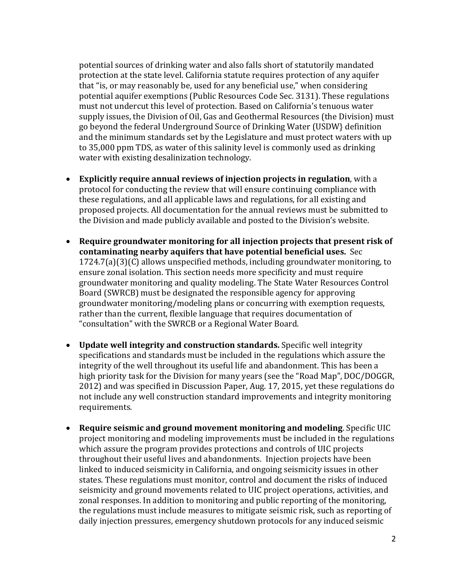potential sources of drinking water and also falls short of statutorily mandated protection at the state level. California statute requires protection of any aquifer that "is, or may reasonably be, used for any beneficial use," when considering potential aquifer exemptions (Public Resources Code Sec. 3131). These regulations must not undercut this level of protection. Based on California's tenuous water supply issues, the Division of Oil, Gas and Geothermal Resources (the Division) must go beyond the federal Underground Source of Drinking Water (USDW} definition and the minimum standards set by the Legislature and must protect waters with up to 35,000 ppm TDS, as water of this salinity level is commonly used as drinking water with existing desalinization technology.

- **Explicitly require annual reviews of injection projects in regulation**, with a protocol for conducting the review that will ensure continuing compliance with these regulations, and all applicable laws and regulations, for all existing and proposed projects. All documentation for the annual reviews must be submitted to the Division and made publicly available and posted to the Division's website.
- **Require groundwater monitoring for all injection projects that present risk of contaminating nearby aquifers that have potential beneficial uses.** Sec 1724.7(a)(3)(C) allows unspecified methods, including groundwater monitoring, to ensure zonal isolation. This section needs more specificity and must require groundwater monitoring and quality modeling. The State Water Resources Control Board (SWRCB) must be designated the responsible agency for approving groundwater monitoring/modeling plans or concurring with exemption requests, rather than the current, flexible language that requires documentation of "consultation" with the SWRCB or a Regional Water Board.
- **Update well integrity and construction standards.** Specific well integrity specifications and standards must be included in the regulations which assure the integrity of the well throughout its useful life and abandonment. This has been a high priority task for the Division for many years (see the "Road Map", DOC/DOGGR, 2012) and was specified in Discussion Paper, Aug. 17, 2015, yet these regulations do not include any well construction standard improvements and integrity monitoring requirements.
- **Require seismic and ground movement monitoring and modeling**. Specific UIC project monitoring and modeling improvements must be included in the regulations which assure the program provides protections and controls of UIC projects throughout their useful lives and abandonments. Injection projects have been linked to induced seismicity in California, and ongoing seismicity issues in other states. These regulations must monitor, control and document the risks of induced seismicity and ground movements related to UIC project operations, activities, and zonal responses. In addition to monitoring and public reporting of the monitoring, the regulations must include measures to mitigate seismic risk, such as reporting of daily injection pressures, emergency shutdown protocols for any induced seismic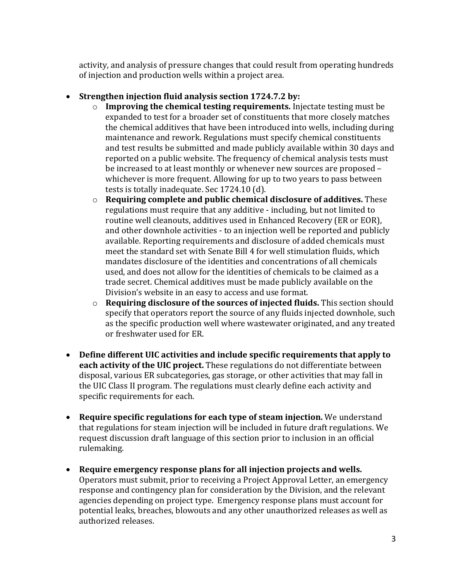activity, and analysis of pressure changes that could result from operating hundreds of injection and production wells within a project area.

- **Strengthen injection fluid analysis section 1724.7.2 by:**
	- o **Improving the chemical testing requirements.** Injectate testing must be expanded to test for a broader set of constituents that more closely matches the chemical additives that have been introduced into wells, including during maintenance and rework. Regulations must specify chemical constituents and test results be submitted and made publicly available within 30 days and reported on a public website. The frequency of chemical analysis tests must be increased to at least monthly or whenever new sources are proposed – whichever is more frequent. Allowing for up to two years to pass between tests is totally inadequate. Sec 1724.10 (d).
	- o **Requiring complete and public chemical disclosure of additives.** These regulations must require that any additive - including, but not limited to routine well cleanouts, additives used in Enhanced Recovery (ER or EOR), and other downhole activities - to an injection well be reported and publicly available. Reporting requirements and disclosure of added chemicals must meet the standard set with Senate Bill 4 for well stimulation fluids, which mandates disclosure of the identities and concentrations of all chemicals used, and does not allow for the identities of chemicals to be claimed as a trade secret. Chemical additives must be made publicly available on the Division's website in an easy to access and use format.
	- o **Requiring disclosure of the sources of injected fluids.** This section should specify that operators report the source of any fluids injected downhole, such as the specific production well where wastewater originated, and any treated or freshwater used for ER.
- **Define different UIC activities and include specific requirements that apply to each activity of the UIC project.** These regulations do not differentiate between disposal, various ER subcategories, gas storage, or other activities that may fall in the UIC Class II program. The regulations must clearly define each activity and specific requirements for each.
- **Require specific regulations for each type of steam injection.** We understand that regulations for steam injection will be included in future draft regulations. We request discussion draft language of this section prior to inclusion in an official rulemaking.
- **Require emergency response plans for all injection projects and wells.** Operators must submit, prior to receiving a Project Approval Letter, an emergency response and contingency plan for consideration by the Division, and the relevant agencies depending on project type. Emergency response plans must account for potential leaks, breaches, blowouts and any other unauthorized releases as well as authorized releases.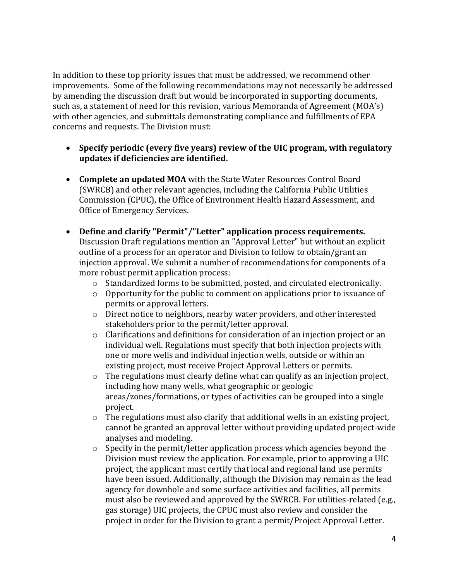In addition to these top priority issues that must be addressed, we recommend other improvements. Some of the following recommendations may not necessarily be addressed by amending the discussion draft but would be incorporated in supporting documents, such as, a statement of need for this revision, various Memoranda of Agreement (MOA's) with other agencies, and submittals demonstrating compliance and fulfillments of EPA concerns and requests. The Division must:

- **Specify periodic (every five years) review of the UIC program, with regulatory updates if deficiencies are identified.**
- **Complete an updated MOA** with the State Water Resources Control Board (SWRCB) and other relevant agencies, including the California Public Utilities Commission (CPUC), the Office of Environment Health Hazard Assessment, and Office of Emergency Services.
- **Define and clarify "Permit"/"Letter" application process requirements.** Discussion Draft regulations mention an "Approval Letter" but without an explicit outline of a process for an operator and Division to follow to obtain/grant an injection approval. We submit a number of recommendations for components of a more robust permit application process:
	- o Standardized forms to be submitted, posted, and circulated electronically.
	- o Opportunity for the public to comment on applications prior to issuance of permits or approval letters.
	- o Direct notice to neighbors, nearby water providers, and other interested stakeholders prior to the permit/letter approval.
	- o Clarifications and definitions for consideration of an injection project or an individual well. Regulations must specify that both injection projects with one or more wells and individual injection wells, outside or within an existing project, must receive Project Approval Letters or permits.
	- o The regulations must clearly define what can qualify as an injection project, including how many wells, what geographic or geologic areas/zones/formations, or types of activities can be grouped into a single project.
	- o The regulations must also clarify that additional wells in an existing project, cannot be granted an approval letter without providing updated project-wide analyses and modeling.
	- o Specify in the permit/letter application process which agencies beyond the Division must review the application. For example, prior to approving a UIC project, the applicant must certify that local and regional land use permits have been issued. Additionally, although the Division may remain as the lead agency for downhole and some surface activities and facilities, all permits must also be reviewed and approved by the SWRCB. For utilities-related (e.g., gas storage) UIC projects, the CPUC must also review and consider the project in order for the Division to grant a permit/Project Approval Letter.